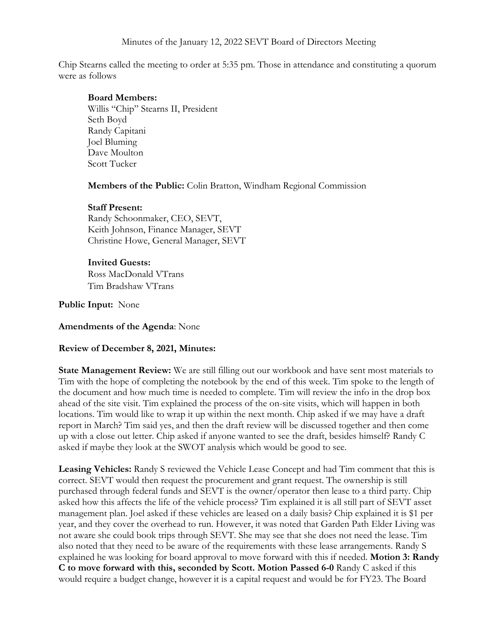Chip Stearns called the meeting to order at 5:35 pm. Those in attendance and constituting a quorum were as follows

### **Board Members:**

Willis "Chip" Stearns II, President Seth Boyd Randy Capitani Joel Bluming Dave Moulton Scott Tucker

**Members of the Public:** Colin Bratton, Windham Regional Commission

# **Staff Present:**

Randy Schoonmaker, CEO, SEVT, Keith Johnson, Finance Manager, SEVT Christine Howe, General Manager, SEVT

# **Invited Guests:**

Ross MacDonald VTrans Tim Bradshaw VTrans

**Public Input:** None

**Amendments of the Agenda**: None

# **Review of December 8, 2021, Minutes:**

**State Management Review:** We are still filling out our workbook and have sent most materials to Tim with the hope of completing the notebook by the end of this week. Tim spoke to the length of the document and how much time is needed to complete. Tim will review the info in the drop box ahead of the site visit. Tim explained the process of the on-site visits, which will happen in both locations. Tim would like to wrap it up within the next month. Chip asked if we may have a draft report in March? Tim said yes, and then the draft review will be discussed together and then come up with a close out letter. Chip asked if anyone wanted to see the draft, besides himself? Randy C asked if maybe they look at the SWOT analysis which would be good to see.

**Leasing Vehicles:** Randy S reviewed the Vehicle Lease Concept and had Tim comment that this is correct. SEVT would then request the procurement and grant request. The ownership is still purchased through federal funds and SEVT is the owner/operator then lease to a third party. Chip asked how this affects the life of the vehicle process? Tim explained it is all still part of SEVT asset management plan. Joel asked if these vehicles are leased on a daily basis? Chip explained it is \$1 per year, and they cover the overhead to run. However, it was noted that Garden Path Elder Living was not aware she could book trips through SEVT. She may see that she does not need the lease. Tim also noted that they need to be aware of the requirements with these lease arrangements. Randy S explained he was looking for board approval to move forward with this if needed. **Motion 3: Randy C to move forward with this, seconded by Scott. Motion Passed 6-0** Randy C asked if this would require a budget change, however it is a capital request and would be for FY23. The Board